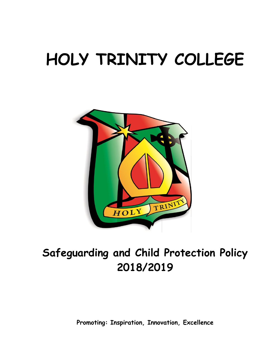# **HOLY TRINITY COLLEGE**



# **Safeguarding and Child Protection Policy 2018/2019**

**Promoting: Inspiration, Innovation, Excellence**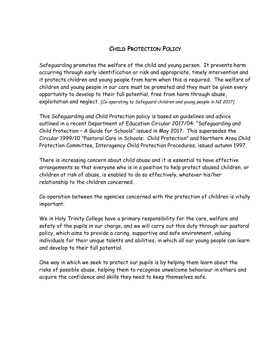### **CHILD PROTECTION POLICY**

Safeguarding promotes the welfare of the child and young person. It prevents harm occurring through early identification or risk and appropriate, timely intervention and it protects children and young people from harm when this is required. The welfare of children and young people in our care must be promoted and they must be given every opportunity to develop to their full potential, free from harm through abuse, exploitation and neglect. *[Co-operating to Safeguard children and young people in NI 2017]*

This Safeguarding and Child Protection policy is based on guidelines and advice outlined in a recent Department of Education Circular 2017/04: "Safeguarding and Child Protection – A Guide for Schools" issued in May 2017. This supersedes the Circular 1999/10 "Pastoral Care in Schools: Child Protection" and Northern Area Child Protection Committee, Interagency Child Protection Procedures, issued autumn 1997.

There is increasing concern about child abuse and it is essential to have effective arrangements so that everyone who is in a position to help protect abused children, or children at risk of abuse, is enabled to do so effectively, whatever his/her relationship to the children concerned.

Co-operation between the agencies concerned with the protection of children is vitally important.

We in Holy Trinity College have a primary responsibility for the care, welfare and safety of the pupils in our charge, and we will carry out this duty through our pastoral policy, which aims to provide a caring, supportive and safe environment, valuing individuals for their unique talents and abilities, in which all our young people can learn and develop to their full potential.

One way in which we seek to protect our pupils is by helping them learn about the risks of possible abuse, helping them to recognise unwelcome behaviour in others and acquire the confidence and skills they need to keep themselves safe.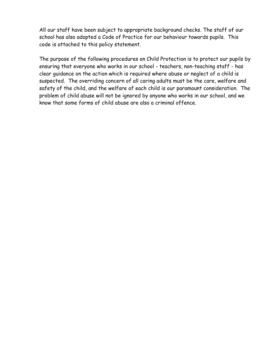All our staff have been subject to appropriate background checks. The staff of our school has also adopted a Code of Practice for our behaviour towards pupils. This code is attached to this policy statement.

The purpose of the following procedures on Child Protection is to protect our pupils by ensuring that everyone who works in our school - teachers, non-teaching staff - has clear guidance on the action which is required where abuse or neglect of a child is suspected. The overriding concern of all caring adults must be the care, welfare and safety of the child, and the welfare of each child is our paramount consideration. The problem of child abuse will not be ignored by anyone who works in our school, and we know that some forms of child abuse are also a criminal offence.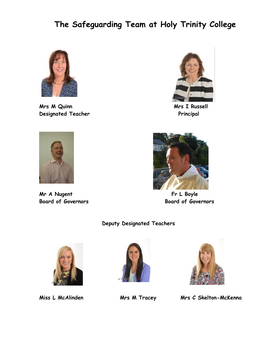# **The Safeguarding Team at Holy Trinity College**



**Mrs M Quinn Mrs I Russell Designated Teacher Principal Principal Principal Principal Principal Principal Principal Principal Principal Principal Principal Principal Principal Principal Principal Principal Principal Principal Principal Principal Pr** 





**Mr A Nugent Community Community Community Community Community Community Community Community Community Community** 



**Board of Governors Board of Governors**

#### **Deputy Designated Teachers**







**Miss L McAlinden Mrs M Tracey Mrs C Skelton-McKenna**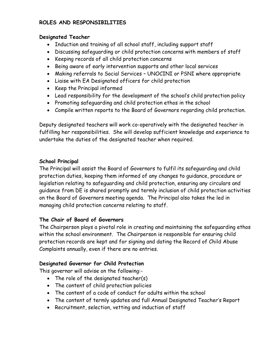#### **ROLES AND RESPONSIBILITIES**

#### **Designated Teacher**

- Induction and training of all school staff, including support staff
- Discussing safeguarding or child protection concerns with members of staff
- Keeping records of all child protection concerns
- Being aware of early intervention supports and other local services
- Making referrals to Social Services UNOCINI or PSNI where appropriate
- Liaise with EA Designated officers for child protection
- Keep the Principal informed
- Lead responsibility for the development of the school's child protection policy
- Promoting safeguarding and child protection ethos in the school
- Compile written reports to the Board of Governors regarding child protection.

Deputy designated teachers will work co-operatively with the designated teacher in fulfilling her responsibilities. She will develop sufficient knowledge and experience to undertake the duties of the designated teacher when required.

#### **School Principal**

The Principal will assist the Board of Governors to fulfil its safeguarding and child protection duties, keeping them informed of any changes to guidance, procedure or legislation relating to safeguarding and child protection, ensuring any circulars and guidance from DE is shared promptly and termly inclusion of child protection activities on the Board of Governors meeting agenda. The Principal also takes the led in managing child protection concerns relating to staff.

#### **The Chair of Board of Governors**

The Chairperson plays a pivotal role in creating and maintaining the safeguarding ethos within the school environment. The Chairperson is responsible for ensuring child protection records are kept and for signing and dating the Record of Child Abuse Complaints annually, even if there are no entries.

#### **Designated Governor for Child Protection**

This governor will advise on the following:-

- The role of the designated teacher(s)
- The content of child protection policies
- The content of a code of conduct for adults within the school
- The content of termly updates and full Annual Designated Teacher's Report
- Recruitment, selection, vetting and induction of staff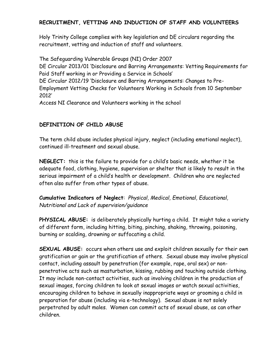#### **RECRUITMENT, VETTING AND INDUCTION OF STAFF AND VOLUNTEERS**

Holy Trinity College complies with key legislation and DE circulars regarding the recruitment, vetting and induction of staff and volunteers.

The Safeguarding Vulnerable Groups (NI) Order 2007 DE Circular 2013/01 'Disclosure and Barring Arrangements: Vetting Requirements for Paid Staff working in or Providing a Service in Schools' DE Circular 2012/19 'Disclosure and Barring Arrangements: Changes to Pre-Employment Vetting Checks for Volunteers Working in Schools from 10 September 2012'

Access NI Clearance and Volunteers working in the school

#### **DEFINITION OF CHILD ABUSE**

The term child abuse includes physical injury, neglect (including emotional neglect), continued ill-treatment and sexual abuse.

**NEGLECT:** this is the failure to provide for a child's basic needs, whether it be adequate food, clothing, hygiene, supervision or shelter that is likely to result in the serious impairment of a child's health or development. Children who are neglected often also suffer from other types of abuse.

**Cumulative Indicators of Neglect**: *Physical, Medical, Emotional, Educational, Nutritional and Lack of supervision/guidance*

**PHYSICAL ABUSE:** is deliberately physically hurting a child. It might take a variety of different form, including hitting, biting, pinching, shaking, throwing, poisoning, burning or scalding, drowning or suffocating a child.

**SEXUAL ABUSE:** occurs when others use and exploit children sexually for their own gratification or gain or the gratification of others. Sexual abuse may involve physical contact, including assault by penetration (for example, rape, oral sex) or nonpenetrative acts such as masturbation, kissing, rubbing and touching outside clothing. It may include non-contact activities, such as involving children in the production of sexual images, forcing children to look at sexual images or watch sexual activities, encouraging children to behave in sexually inappropriate ways or grooming a child in preparation for abuse (including via e-technology). Sexual abuse is not solely perpetrated by adult males. Women can commit acts of sexual abuse, as can other children.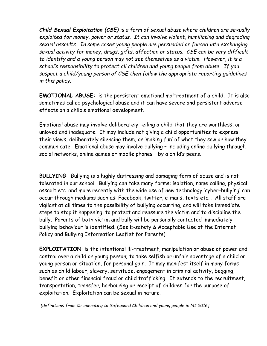*Child Sexual Exploitation (CSE) is a form of sexual abuse where children are sexually exploited for money, power or status. It can involve violent, humiliating and degrading sexual assaults. In some cases young people are persuaded or forced into exchanging sexual activity for money, drugs, gifts, affection or status. CSE can be very difficult to identify and a young person may not see themselves as a victim. However, it is a school's responsibility to protect all children and young people from abuse. If you suspect a child/young person of CSE then follow the appropriate reporting guidelines in this policy.*

**EMOTIONAL ABUSE:** is the persistent emotional maltreatment of a child. It is also sometimes called psychological abuse and it can have severe and persistent adverse effects on a child's emotional development.

Emotional abuse may involve deliberately telling a child that they are worthless, or unloved and inadequate. It may include not giving a child opportunities to express their views, deliberately silencing them, or 'making fun' of what they saw or how they communicate. Emotional abuse may involve bullying – including online bullying through social networks, online games or mobile phones – by a child's peers.

**BULLYING**: Bullying is a highly distressing and damaging form of abuse and is not tolerated in our school. Bullying can take many forms: isolation, name calling, physical assault etc..and more recently with the wide use of new technology 'cyber-bullying' can occur through mediums such as: Facebook, twitter, e-mails, texts etc… All staff are vigilant at all times to the possibility of bullying occurring, and will take immediate steps to stop it happening, to protect and reassure the victim and to discipline the bully. Parents of both victim and bully will be personally contacted immediately bullying behaviour is identified. (See E-safety & Acceptable Use of the Internet Policy and Bullying Information Leaflet for Parents).

**EXPLOITATION**: is the intentional ill-treatment, manipulation or abuse of power and control over a child or young person; to take selfish or unfair advantage of a child or young person or situation, for personal gain. It may manifest itself in many forms such as child labour, slavery, servitude, engagement in criminal activity, begging, benefit or other financial fraud or child trafficking. It extends to the recruitment, transportation, transfer, harbouring or receipt of children for the purpose of exploitation. Exploitation can be sexual in nature*.* 

*[definitions from Co-operating to Safeguard Children and young people in NI 2016]*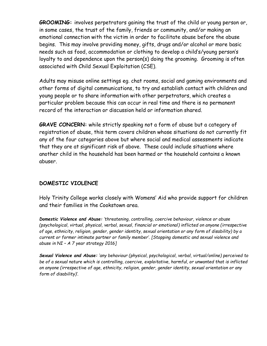**GROOMING:** involves perpetrators gaining the trust of the child or young person or, in some cases, the trust of the family, friends or community, and/or making an emotional connection with the victim in order to facilitate abuse before the abuse begins. This may involve providing money, gifts, drugs and/or alcohol or more basic needs such as food, accommodation or clothing to develop a child's/young person's loyalty to and dependence upon the person(s) doing the grooming. Grooming is often associated with Child Sexual Exploitation (CSE).

Adults may misuse online settings eg. chat rooms, social and gaming environments and other forms of digital communications, to try and establish contact with children and young people or to share information with other perpetrators, which creates a particular problem because this can occur in real time and there is no permanent record of the interaction or discussion held or information shared.

**GRAVE CONCERN:** while strictly speaking not a form of abuse but a category of registration of abuse, this term covers children whose situations do not currently fit any of the four categories above but where social and medical assessments indicate that they are at significant risk of above. These could include situations where another child in the household has been harmed or the household contains a known abuser.

#### **DOMESTIC VIOLENCE**

Holy Trinity College works closely with Womens' Aid who provide support for children and their families in the Cookstown area.

*Domestic Violence and Abuse: 'threatening, controlling, coercive behaviour, violence or abuse (psychological, virtual, physical, verbal, sexual, financial or emotional) inflicted on anyone (irrespective of age, ethnicity, religion, gender, gender identity, sexual orientation or any form of disability) by a current or former intimate partner or family member'. [Stopping domestic and sexual violence and abuse in NI – A 7 year strategy 2016]*

*Sexual Violence and Abuse: 'any behaviour (physical, psychological, verbal, virtual/online) perceived to be of a sexual nature which is controlling, coercive, exploitative, harmful, or unwanted that is inflicted on anyone (irrespective of age, ethnicity, religion, gender, gender identity, sexual orientation or any form of disability)'.*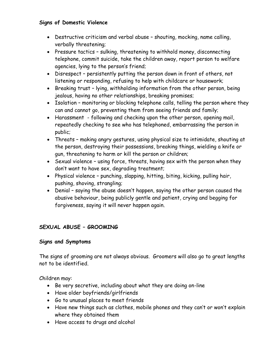#### **Signs of Domestic Violence**

- Destructive criticism and verbal abuse shouting, mocking, name calling, verbally threatening;
- Pressure tactics sulking, threatening to withhold money, disconnecting telephone, commit suicide, take the children away, report person to welfare agencies, lying to the person's friend;
- Disrespect persistently putting the person down in front of others, not listening or responding, refusing to help with childcare or housework;
- Breaking trust lying, withholding information from the other person, being jealous, having no other relationships, breaking promises;
- Isolation monitoring or blocking telephone calls, telling the person where they can and cannot go, preventing them from seeing friends and family;
- Harassment following and checking upon the other person, opening mail, repeatedly checking to see who has telephoned, embarrassing the person in public;
- Threats making angry gestures, using physical size to intimidate, shouting at the person, destroying their possessions, breaking things, wielding a knife or gun, threatening to harm or kill the person or children;
- Sexual violence using force, threats, having sex with the person when they don't want to have sex, degrading treatment;
- Physical violence punching, slapping, hitting, biting, kicking, pulling hair, pushing, shoving, strangling;
- Denial saying the abuse doesn't happen, saying the other person caused the abusive behaviour, being publicly gentle and patient, crying and begging for forgiveness, saying it will never happen again.

#### **SEXUAL ABUSE – GROOMING**

#### **Signs and Symptoms**

The signs of grooming are not always obvious. Groomers will also go to great lengths not to be identified.

Children may:

- Be very secretive, including about what they are doing on-line
- Have older boyfriends/girlfriends
- Go to unusual places to meet friends
- Have new things such as clothes, mobile phones and they can't or won't explain where they obtained them
- Have access to drugs and alcohol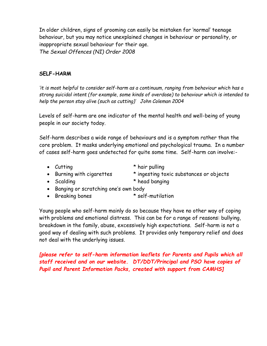In older children, signs of grooming can easily be mistaken for 'normal' teenage behaviour, but you may notice unexplained changes in behaviour or personality, or inappropriate sexual behaviour for their age. *The Sexual Offences (NI) Order 2008*

#### **SELF-HARM**

*'it is most helpful to consider self-harm as a continuum, ranging from behaviour which has a strong suicidal intent (for example, some kinds of overdose) to behaviour which is intended to help the person stay alive (such as cutting)' John Coleman 2004*

Levels of self-harm are one indicator of the mental health and well-being of young people in our society today.

Self-harm describes a wide range of behaviours and is a symptom rather than the core problem. It masks underlying emotional and psychological trauma. In a number of cases self-harm goes undetected for quite some time. Self-harm can involve:-

- Cutting  $*$  hair pulling
- 

• Burning with cigarettes \* ingesting toxic substances or objects

- Scalding \* head banging
- Banging or scratching one's own body
- Breaking bones \* self-mutilation

Young people who self-harm mainly do so because they have no other way of coping with problems and emotional distress. This can be for a range of reasons: bullying, breakdown in the family, abuse, excessively high expectations. Self-harm is not a good way of dealing with such problems. It provides only temporary relief and does not deal with the underlying issues.

*[please refer to self-harm information leaflets for Parents and Pupils which all staff received and on our website. DT/DDT/Principal and PSO have copies of Pupil and Parent Information Packs, created with support from CAMHS]*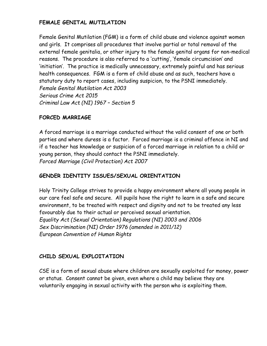#### **FEMALE GENITAL MUTILATION**

Female Genital Mutilation (FGM) is a form of child abuse and violence against women and girls. It comprises all procedures that involve partial or total removal of the external female genitalia, or other injury to the female genital organs for non-medical reasons. The procedure is also referred to a 'cutting', 'female circumcision' and 'initiation'. The practice is medically unnecessary, extremely painful and has serious health consequences. FGM is a form of child abuse and as such, teachers have a statutory duty to report cases, including suspicion, to the PSNI immediately. *Female Genital Mutilation Act 2003 Serious Crime Act 2015 Criminal Law Act (NI) 1967 – Section 5*

#### **FORCED MARRIAGE**

A forced marriage is a marriage conducted without the valid consent of one or both parties and where duress is a factor. Forced marriage is a criminal offence in NI and if a teacher has knowledge or suspicion of a forced marriage in relation to a child or young person, they should contact the PSNI immediately. *Forced Marriage (Civil Protection) Act 2007*

#### **GENDER IDENTITY ISSUES/SEXUAL ORIENTATION**

Holy Trinity College strives to provide a happy environment where all young people in our care feel safe and secure. All pupils have the right to learn in a safe and secure environment, to be treated with respect and dignity and not to be treated any less favourably due to their actual or perceived sexual orientation. *Equality Act (Sexual Orientation) Regulations (NI) 2003 and 2006 Sex Discrimination (NI) Order 1976 (amended in 2011/12) European Convention of Human Rights*

#### **CHILD SEXUAL EXPLOITATION**

CSE is a form of sexual abuse where children are sexually exploited for money, power or status. Consent cannot be given, even where a child may believe they are voluntarily engaging in sexual activity with the person who is exploiting them.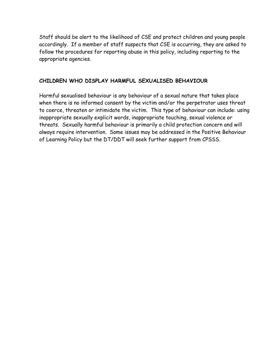Staff should be alert to the likelihood of CSE and protect children and young people accordingly. If a member of staff suspects that CSE is occurring, they are asked to follow the procedures for reporting abuse in this policy, including reporting to the appropriate agencies.

#### **CHILDREN WHO DISPLAY HARMFUL SEXUALISED BEHAVIOUR**

Harmful sexualised behaviour is any behaviour of a sexual nature that takes place when there is no informed consent by the victim and/or the perpetrator uses threat to coerce, threaten or intimidate the victim. This type of behaviour can include: using inappropriate sexually explicit words, inappropriate touching, sexual violence or threats. Sexually harmful behaviour is primarily a child protection concern and will always require intervention. Some issues may be addressed in the Positive Behaviour of Learning Policy but the DT/DDT will seek further support from CPSSS.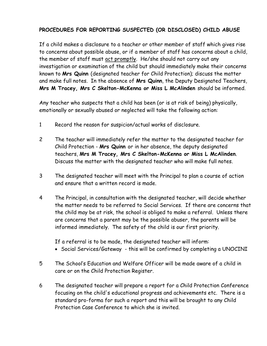#### **PROCEDURES FOR REPORTING SUSPECTED (OR DISCLOSED) CHILD ABUSE**

If a child makes a disclosure to a teacher or other member of staff which gives rise to concerns about possible abuse, or if a member of staff has concerns about a child, the member of staff must act promptly. He/she should not carry out any investigation or examination of the child but should immediately make their concerns known to **Mrs Quinn** (designated teacher for Child Protection); discuss the matter and make full notes. In the absence of **Mrs Quinn**, the Deputy Designated Teachers, **Mrs M Tracey, Mrs C Skelton-McKenna or Miss L McAlinden** should be informed.

Any teacher who suspects that a child has been (or is at risk of being) physically, emotionally or sexually abused or neglected will take the following action:

- 1 Record the reason for suspicion/actual works of disclosure.
- 2 The teacher will immediately refer the matter to the designated teacher for Child Protection - **Mrs Quinn** or in her absence, the deputy designated teachers, **Mrs M Tracey, Mrs C Skelton-McKenna or Miss L McAlinden**. Discuss the matter with the designated teacher who will make full notes.
- 3 The designated teacher will meet with the Principal to plan a course of action and ensure that a written record is made.
- 4 The Principal, in consultation with the designated teacher, will decide whether the matter needs to be referred to Social Services. If there are concerns that the child may be at risk, the school is obliged to make a referral. Unless there are concerns that a parent may be the possible abuser, the parents will be informed immediately. The safety of the child is our first priority.

If a referral is to be made, the designated teacher will inform:

- Social Services/Gateway this will be confirmed by completing a UNOCINI
- 5 The School's Education and Welfare Officer will be made aware of a child in care or on the Child Protection Register.
- 6 The designated teacher will prepare a report for a Child Protection Conference focusing on the child's educational progress and achievements etc. There is a standard pro-forma for such a report and this will be brought to any Child Protection Case Conference to which she is invited.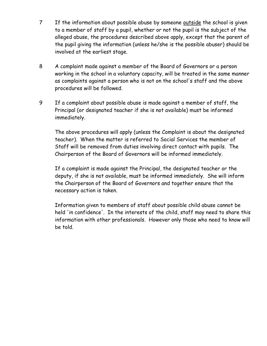- 7 If the information about possible abuse by someone outside the school is given to a member of staff by a pupil, whether or not the pupil is the subject of the alleged abuse, the procedures described above apply, except that the parent of the pupil giving the information (unless he/she is the possible abuser) should be involved at the earliest stage.
- 8 A complaint made against a member of the Board of Governors or a person working in the school in a voluntary capacity, will be treated in the same manner as complaints against a person who is not on the school's staff and the above procedures will be followed.
- 9 If a complaint about possible abuse is made against a member of staff, the Principal (or designated teacher if she is not available) must be informed immediately.

The above procedures will apply (unless the Complaint is about the designated teacher). When the matter is referred to Social Services the member of Staff will be removed from duties involving direct contact with pupils. The Chairperson of the Board of Governors will be informed immediately.

If a complaint is made against the Principal, the designated teacher or the deputy, if she is not available, must be informed immediately. She will inform the Chairperson of the Board of Governors and together ensure that the necessary action is taken.

Information given to members of staff about possible child abuse cannot be held 'in confidence'. In the interests of the child, staff may need to share this information with other professionals. However only those who need to know will be told.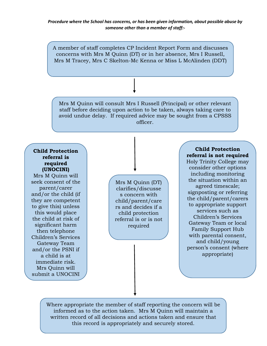A member of staff completes CP Incident Report Form and discusses concerns with Mrs M Quinn (DT) or in her absence, Mrs I Russell, Mrs M Tracey, Mrs C Skelton-Mc Kenna or Miss L McAlinden (DDT)

Mrs M Quinn will consult Mrs I Russell (Principal) or other relevant staff before deciding upon action to be taken, always taking care to avoid undue delay. If required advice may be sought from a CPSSS officer.

#### **Child Protection referral is required (UNOCINI)**

Mrs M Quinn will seek consent of the parent/carer and/or the child (if they are competent to give this) unless this would place the child at risk of significant harm then telephone Children's Services Gateway Team and/or the PSNI if a child is at immediate risk. Mrs Quinn will submit a UNOCINI

referral within 24

Mrs M Quinn (DT) clarifies/discusse s concern with child/parent/care rs and decides if a child protection referral is or is not required

**Child Protection referral is not required**

Holy Trinity College may consider other options including monitoring the situation within an agreed timescale; signposting or referring the child/parent/carers to appropriate support services such as Children's Services Gateway Team or local Family Support Hub with parental consent, and child/young person's consent (where appropriate)

Where appropriate the member of staff reporting the concern will be informed as to the action taken. Mrs M Quinn will maintain a written record of all decisions and actions taken and ensure that this record is appropriately and securely stored.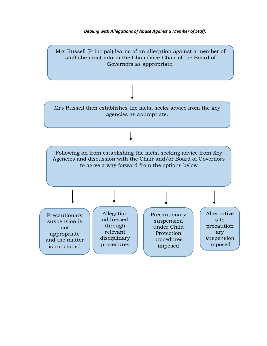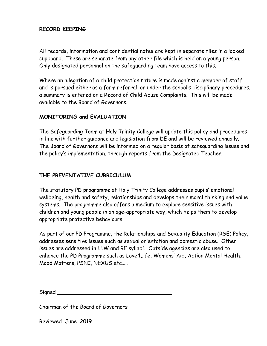#### **RECORD KEEPING**

All records, information and confidential notes are kept in separate files in a locked cupboard. These are separate from any other file which is held on a young person. Only designated personnel on the safeguarding team have access to this.

Where an allegation of a child protection nature is made against a member of staff and is pursued either as a form referral, or under the school's disciplinary procedures, a summary is entered on a Record of Child Abuse Complaints. This will be made available to the Board of Governors.

#### **MONITORING and EVALUATION**

The Safeguarding Team at Holy Trinity College will update this policy and procedures in line with further guidance and legislation from DE and will be reviewed annually. The Board of Governors will be informed on a regular basis of safeguarding issues and the policy's implementation, through reports from the Designated Teacher.

#### **THE PREVENTATIVE CURRICULUM**

The statutory PD programme at Holy Trinity College addresses pupils' emotional wellbeing, health and safety, relationships and develops their moral thinking and value systems. The programme also offers a medium to explore sensitive issues with children and young people in an age-appropriate way, which helps them to develop appropriate protective behaviours.

As part of our PD Programme, the Relationships and Sexuality Education (RSE) Policy, addresses sensitive issues such as sexual orientation and domestic abuse. Other issues are addressed in LLW and RE syllabi. Outside agencies are also used to enhance the PD Programme such as Love4Life, Womens' Aid, Action Mental Health, Mood Matters, PSNI, NEXUS etc…..

| Signed |  |
|--------|--|
|        |  |

Chairman of the Board of Governors

Reviewed June 2019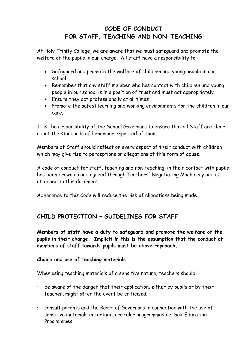## **CODE OF CONDUCT FOR STAFF, TEACHING AND NON-TEACHING**

At Holy Trinity College, we are aware that we must safeguard and promote the welfare of the pupils in our charge. All staff have a responsibility to:-

- Safeguard and promote the welfare of children and young people in our school
- Remember that any staff member who has contact with children and young people in our school is in a position of trust and must act appropriately
- Ensure they act professionally at all times
- Promote the safest learning and working environments for the children in our care.

It is the responsibility of the School Governors to ensure that all Staff are clear about the standards of behaviour expected of them.

Members of Staff should reflect on every aspect of their conduct with children which may give rise to perceptions or allegations of this form of abuse.

A code of conduct for staff, teaching and non-teaching, in their contact with pupils has been drawn up and agreed through Teachers' Negotiating Machinery and is attached to this document.

Adherence to this Code will reduce the risk of allegations being made.

## **CHILD PROTECTION – GUIDELINES FOR STAFF**

**Members of staff have a duty to safeguard and promote the welfare of the pupils in their charge. Implicit in this is the assumption that the conduct of members of staff towards pupils must be above reproach.**

#### **Choice and use of teaching materials**

When using teaching materials of a sensitive nature, teachers should:

- $\cdot$  be aware of the danger that their application, either by pupils or by their teacher, might after the event be criticised.
- · consult parents and the Board of Governors in connection with the use of sensitive materials in certain curricular programmes i.e. Sex Education Programmes.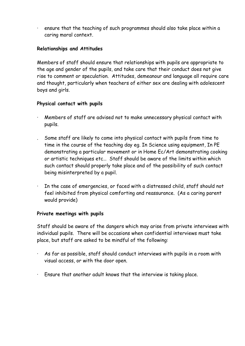· ensure that the teaching of such programmes should also take place within a caring moral context.

#### **Relationships and Attitudes**

Members of staff should ensure that relationships with pupils are appropriate to the age and gender of the pupils, and take care that their conduct does not give rise to comment or speculation. Attitudes, demeanour and language all require care and thought, particularly when teachers of either sex are dealing with adolescent boys and girls.

#### **Physical contact with pupils**

- Members of staff are advised not to make unnecessary physical contact with pupils.
- . Some staff are likely to come into physical contact with pupils from time to time in the course of the teaching day eg. In Science using equipment, In PE demonstrating a particular movement or in Home Ec/Art demonstrating cooking or artistic techniques etc… Staff should be aware of the limits within which such contact should properly take place and of the possibility of such contact being misinterpreted by a pupil.
- · In the case of emergencies, or faced with a distressed child, staff should not feel inhibited from physical comforting and reassurance. (As a caring parent would provide)

#### **Private meetings with pupils**

Staff should be aware of the dangers which may arise from private interviews with individual pupils. There will be occasions when confidential interviews must take place, but staff are asked to be mindful of the following:

- As far as possible, staff should conduct interviews with pupils in a room with visual access, or with the door open.
- · Ensure that another adult knows that the interview is taking place.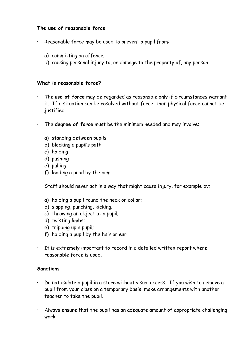#### **The use of reasonable force**

- Reasonable force may be used to prevent a pupil from:
	- a) committing an offence;
	- b) causing personal injury to, or damage to the property of, any person

#### **What is reasonable force?**

- · The **use of force** may be regarded as reasonable only if circumstances warrant it. If a situation can be resolved without force, then physical force cannot be justified.
- · The **degree of force** must be the minimum needed and may involve:
	- a) standing between pupils
	- b) blocking a pupil's path
	- c) holding
	- d) pushing
	- e) pulling
	- f) leading a pupil by the arm
- · Staff should never act in a way that might cause injury, for example by:
	- a) holding a pupil round the neck or collar;
	- b) slapping, punching, kicking;
	- c) throwing an object at a pupil;
	- d) twisting limbs;
	- e) tripping up a pupil;
	- f) holding a pupil by the hair or ear.
- · It is extremely important to record in a detailed written report where reasonable force is used.

#### **Sanctions**

- · Do not isolate a pupil in a store without visual access. If you wish to remove a pupil from your class on a temporary basis, make arrangements with another teacher to take the pupil.
- · Always ensure that the pupil has an adequate amount of appropriate challenging work.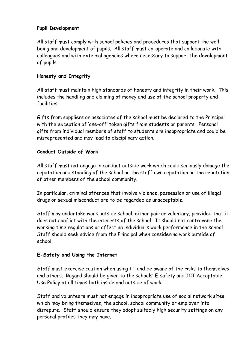#### **Pupil Development**

All staff must comply with school policies and procedures that support the wellbeing and development of pupils. All staff must co-operate and collaborate with colleagues and with external agencies where necessary to support the development of pupils.

#### **Honesty and Integrity**

All staff must maintain high standards of honesty and integrity in their work. This includes the handling and claiming of money and use of the school property and facilities.

Gifts from suppliers or associates of the school must be declared to the Principal with the exception of 'one-off' token gifts from students or parents. Personal gifts from individual members of staff to students are inappropriate and could be misrepresented and may lead to disciplinary action.

#### **Conduct Outside of Work**

All staff must not engage in conduct outside work which could seriously damage the reputation and standing of the school or the staff own reputation or the reputation of other members of the school community.

In particular, criminal offences that involve violence, possession or use of illegal drugs or sexual misconduct are to be regarded as unacceptable.

Staff may undertake work outside school, either pair or voluntary, provided that it does not conflict with the interests of the school. It should not contravene the working time regulations or affect an individual's work performance in the school. Staff should seek advice from the Principal when considering work outside of school.

#### **E-Safety and Using the Internet**

Staff must exercise caution when using IT and be aware of the risks to themselves and others. Regard should be given to the schools' E-safety and ICT Acceptable Use Policy at all times both inside and outside of work.

Staff and volunteers must not engage in inappropriate use of social network sites which may bring themselves, the school, school community or employer into disrepute. Staff should ensure they adopt suitably high security settings on any personal profiles they may have.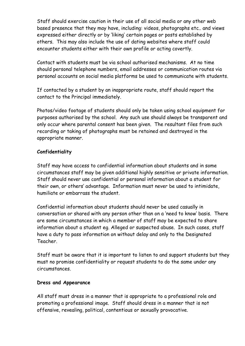Staff should exercise caution in their use of all social media or any other web based presence that they may have, including: videos, photographs etc.. and views expressed either directly or by 'liking' certain pages or posts established by others. This may also include the use of dating websites where staff could encounter students either with their own profile or acting covertly.

Contact with students must be via school authorised mechanisms. At no time should personal telephone numbers, email addresses or communication routes via personal accounts on social media platforms be used to communicate with students.

If contacted by a student by an inappropriate route, staff should report the contact to the Principal immediately.

Photos/video footage of students should only be taken using school equipment for purposes authorised by the school. Any such use should always be transparent and only occur where parental consent has been given. The resultant files from such recording or taking of photographs must be retained and destroyed in the appropriate manner.

#### **Confidentiality**

Staff may have access to confidential information about students and in some circumstances staff may be given additional highly sensitive or private information. Staff should never use confidential or personal information about a student for their own, or others' advantage. Information must never be used to intimidate, humiliate or embarrass the student.

Confidential information about students should never be used casually in conversation or shared with any person other than on a 'need to know' basis. There are some circumstances in which a member of staff may be expected to share information about a student eg. Alleged or suspected abuse. In such cases, staff have a duty to pass information on without delay and only to the Designated Teacher.

Staff must be aware that it is important to listen to and support students but they must no promise confidentiality or request students to do the same under any circumstances.

#### **Dress and Appearance**

All staff must dress in a manner that is appropriate to a professional role and promoting a professional image. Staff should dress in a manner that is not offensive, revealing, political, contentious or sexually provocative.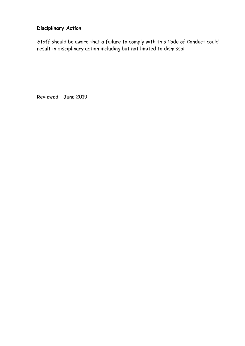# **Disciplinary Action**

Staff should be aware that a failure to comply with this Code of Conduct could result in disciplinary action including but not limited to dismissal

Reviewed – June 2019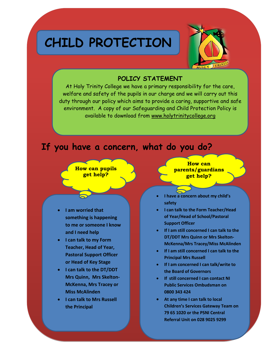# **CHILD PROTECTION**



#### **POLICY STATEMENT**

At Holy Trinity College we have a primary responsibility for the care, welfare and safety of the pupils in our charge and we will carry out this duty through our policy which aims to provide a caring, supportive and safe environment. A copy of our Safeguarding and Child Protection Policy is available to download from [www.holytrinitycollege.org](http://www.holytrinitycollege.org/)

# **If you have a concern, what do you do?**



- **I am worried that something is happening to me or someone I know and I need help**
- **I can talk to my Form Teacher, Head of Year, Pastoral Support Officer or Head of Key Stage**
- **I can talk to the DT/DDT Mrs Quinn, Mrs Skelton-McKenna, Mrs Tracey or Miss McAlinden**
- **I can talk to Mrs Russell the Principal**

**How can parents/guardians get help?**

- **I have a concern about my child's safety**
- **I can talk to the Form Teacher/Head of Year/Head of School/Pastoral Support Officer**
- **If I am still concerned I can talk to the DT/DDT Mrs Quinn or Mrs Skelton-McKenna/Mrs Tracey/Miss McAlinden**
- **If I am still concerned I can talk to the Principal Mrs Russell**
- **If I am concerned I can talk/write to the Board of Governors**
- **If still concerned I can contact NI Public Services Ombudsman on 0800 343 424**
- **At any time I can talk to local Children's Services Gateway Team on 79 65 1020 or the PSNI Central Referral Unit on 028 9025 9299**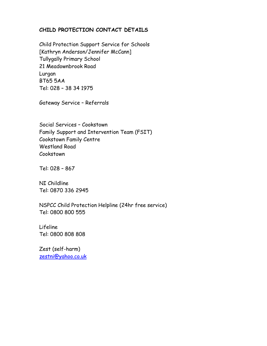#### **CHILD PROTECTION CONTACT DETAILS**

Child Protection Support Service for Schools [Kathryn Anderson/Jennifer McCann] Tullygally Primary School 21 Meadownbrook Road Lurgan BT65 5AA Tel: 028 – 38 34 1975

Gateway Service – Referrals

Social Services – Cookstown Family Support and Intervention Team (FSIT) Cookstown Family Centre Westland Road Cookstown

Tel: 028 – 867

NI Childline Tel: 0870 336 2945

NSPCC Child Protection Helpline (24hr free service) Tel: 0800 800 555

Lifeline Tel: 0800 808 808

Zest (self-harm) [zestni@yahoo.co.uk](mailto:zestni@yahoo.co.uk)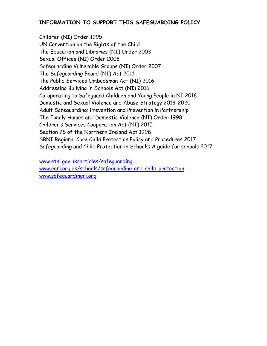#### **INFORMATION TO SUPPORT THIS SAFEGUARDING POLICY**

Children (NI) Order 1995 UN Convention on the Rights of the Child The Education and Libraries (NI) Order 2003 Sexual Offices (NI) Order 2008 Safeguarding Vulnerable Groups (NI) Order 2007 The Safeguarding Board (NI) Act 2011 The Public Services Ombudsman Act (NI) 2016 Addressing Bullying in Schools Act (NI) 2016 Co-operating to Safeguard Children and Young People in NI 2016 Domestic and Sexual Violence and Abuse Strategy 2013-2020 Adult Safeguarding: Prevention and Prevention in Partnership The Family Homes and Domestic Violence (NI) Order 1998 Children's Services Cooperation Act (NI) 2015 Section 75 of the Northern Ireland Act 1998 SBNI Regional Core Child Protection Policy and Procedures 2017 Safeguarding and Child Protection in Schools: A guide for schools 2017

[www.etni.gov.uk/articles/safeguarding](http://www.etni.gov.uk/articles/safeguarding) [www.eani.org.uk/schools/safeguarding-and-child-protection](http://www.eani.org.uk/schools/safeguarding-and-child-protection) [www.safeguardingni.org](http://www.safeguardingni.org/)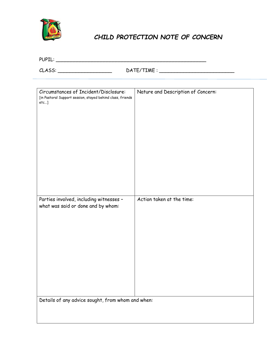

# *CHILD PROTECTION NOTE OF CONCERN*

| $  -$<br>ירחו וח<br>. .<br>--- |  |
|--------------------------------|--|
|--------------------------------|--|

 $\texttt{CAASS:}\_\_\_\_\_\_\_\_\_\_\_\_\\_\_\_\_\_\_\_\_\_ \$ 

| Circumstances of Incident/Disclosure:<br>[in Pastoral Support session, stayed behind class, friends<br>$etc$ ] | Nature and Description of Concern: |  |  |  |  |
|----------------------------------------------------------------------------------------------------------------|------------------------------------|--|--|--|--|
| Parties involved, including witnesses -                                                                        | Action taken at the time:          |  |  |  |  |
| what was said or done and by whom:                                                                             |                                    |  |  |  |  |
| Details of any advice sought, from whom and when:                                                              |                                    |  |  |  |  |
|                                                                                                                |                                    |  |  |  |  |